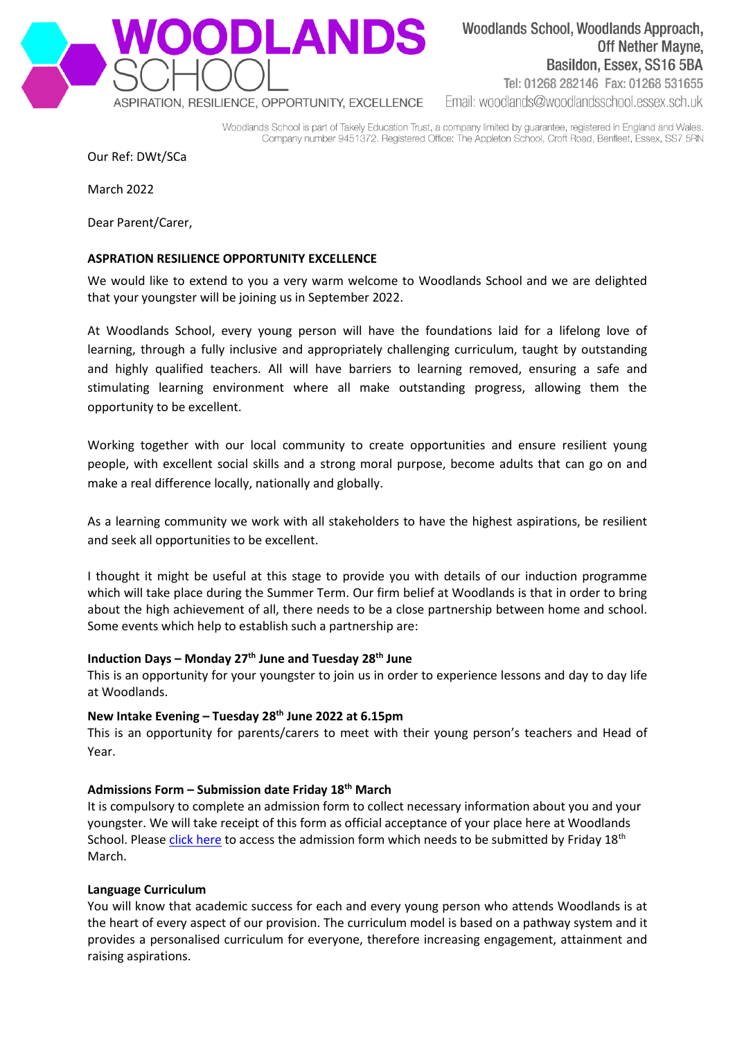

Woodlands School, Woodlands Approach, **Off Nether Mayne,** Basildon, Essex, SS16 5BA Tel: 01268 282146 Fax: 01268 531655

Email: woodlands@woodlandsschool.essex.sch.uk

Woodlands School is part of Takely Education Trust, a company limited by guarantee, registered in England and Wales. Company number 9451372. Registered Office: The Appleton School, Croft Road, Benfleet, Essex, SS7 5RN

Our Ref: DWt/SCa

March 2022

Dear Parent/Carer,

### **ASPRATION RESILIENCE OPPORTUNITY EXCELLENCE**

We would like to extend to you a very warm welcome to Woodlands School and we are delighted that your youngster will be joining us in September 2022.

At Woodlands School, every young person will have the foundations laid for a lifelong love of learning, through a fully inclusive and appropriately challenging curriculum, taught by outstanding and highly qualified teachers. All will have barriers to learning removed, ensuring a safe and stimulating learning environment where all make outstanding progress, allowing them the opportunity to be excellent.

Working together with our local community to create opportunities and ensure resilient young people, with excellent social skills and a strong moral purpose, become adults that can go on and make a real difference locally, nationally and globally.

As a learning community we work with all stakeholders to have the highest aspirations, be resilient and seek all opportunities to be excellent.

I thought it might be useful at this stage to provide you with details of our induction programme which will take place during the Summer Term. Our firm belief at Woodlands is that in order to bring about the high achievement of all, there needs to be a close partnership between home and school. Some events which help to establish such a partnership are:

### **Induction Days – Monday 27th June and Tuesday 28th June**

This is an opportunity for your youngster to join us in order to experience lessons and day to day life at Woodlands.

# **New Intake Evening – Tuesday 28 th June 2022 at 6.15pm**

This is an opportunity for parents/carers to meet with their young person's teachers and Head of Year.

### **Admissions Form – Submission date Friday 18th March**

It is compulsory to complete an admission form to collect necessary information about you and your youngster. We will take receipt of this form as official acceptance of your place here at Woodlands School. Please [click here](https://forms.office.com/Pages/ResponsePage.aspx?id=F4M0YVUwSUazNM4yh22JtKXrzX9paHhHiI4MqmbjKodUQ1pLRlI1S0tWVEhXS1c1SzE4MVZQR0VHVy4u) to access the admission form which needs to be submitted by Friday 18<sup>th</sup> March.

### **Language Curriculum**

You will know that academic success for each and every young person who attends Woodlands is at the heart of every aspect of our provision. The curriculum model is based on a pathway system and it provides a personalised curriculum for everyone, therefore increasing engagement, attainment and raising aspirations.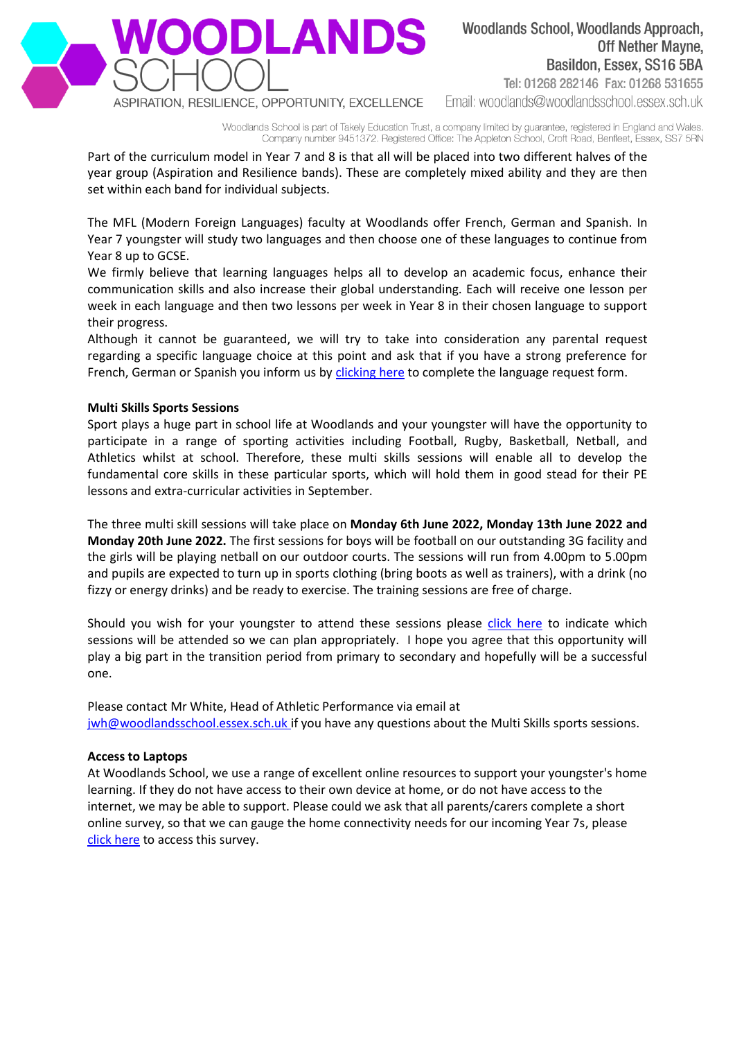

Woodlands School, Woodlands Approach, **Off Nether Mayne,** Basildon, Essex, SS16 5BA Tel: 01268 282146 Fax: 01268 531655 Email: woodlands@woodlandsschool.essex.sch.uk

Woodlands School is part of Takely Education Trust, a company limited by guarantee, registered in England and Wales. Company number 9451372. Registered Office: The Appleton School, Croft Road, Benfleet, Essex, SS7 5RN

Part of the curriculum model in Year 7 and 8 is that all will be placed into two different halves of the year group (Aspiration and Resilience bands). These are completely mixed ability and they are then set within each band for individual subjects.

The MFL (Modern Foreign Languages) faculty at Woodlands offer French, German and Spanish. In Year 7 youngster will study two languages and then choose one of these languages to continue from Year 8 up to GCSE.

We firmly believe that learning languages helps all to develop an academic focus, enhance their communication skills and also increase their global understanding. Each will receive one lesson per week in each language and then two lessons per week in Year 8 in their chosen language to support their progress.

Although it cannot be guaranteed, we will try to take into consideration any parental request regarding a specific language choice at this point and ask that if you have a strong preference for French, German or Spanish you inform us by [clicking here](https://forms.office.com/Pages/ResponsePage.aspx?id=F4M0YVUwSUazNM4yh22JtKXrzX9paHhHiI4MqmbjKodUOFMyOFpETEtIRUQwQUgwSUk4OUExUzYwVy4u) to complete the language request form.

# **Multi Skills Sports Sessions**

Sport plays a huge part in school life at Woodlands and your youngster will have the opportunity to participate in a range of sporting activities including Football, Rugby, Basketball, Netball, and Athletics whilst at school. Therefore, these multi skills sessions will enable all to develop the fundamental core skills in these particular sports, which will hold them in good stead for their PE lessons and extra-curricular activities in September.

The three multi skill sessions will take place on **Monday 6th June 2022, Monday 13th June 2022 and Monday 20th June 2022.** The first sessions for boys will be football on our outstanding 3G facility and the girls will be playing netball on our outdoor courts. The sessions will run from 4.00pm to 5.00pm and pupils are expected to turn up in sports clothing (bring boots as well as trainers), with a drink (no fizzy or energy drinks) and be ready to exercise. The training sessions are free of charge.

Should you wish for your youngster to attend these sessions please [click here](https://forms.office.com/Pages/ResponsePage.aspx?id=F4M0YVUwSUazNM4yh22JtNc9KnzBTs5FikzRl1RKWrRURjBBNFo2U0xOR1gxUjhJRTFQQ045WDZENi4u) to indicate which sessions will be attended so we can plan appropriately. I hope you agree that this opportunity will play a big part in the transition period from primary to secondary and hopefully will be a successful one.

Please contact Mr White, Head of Athletic Performance via email at [jwh@woodlandsschool.essex.sch.uk](mailto:jwh@woodlandsschool.essex.sch.uk) if you have any questions about the Multi Skills sports sessions.

### **Access to Laptops**

At Woodlands School, we use a range of excellent online resources to support your youngster's home learning. If they do not have access to their own device at home, or do not have access to the internet, we may be able to support. Please could we ask that all parents/carers complete a short online survey, so that we can gauge the home connectivity needs for our incoming Year 7s, please [click here](https://forms.office.com/Pages/ResponsePage.aspx?id=F4M0YVUwSUazNM4yh22JtAJ-IbBYdWJMmX8mS4VYd_1UNVE3WjdHVkVDVkZPUTBETUdERFRFRFMyQS4u) to access this survey.